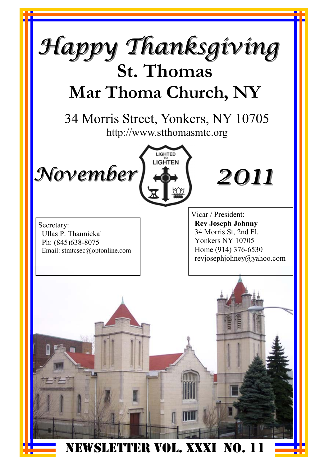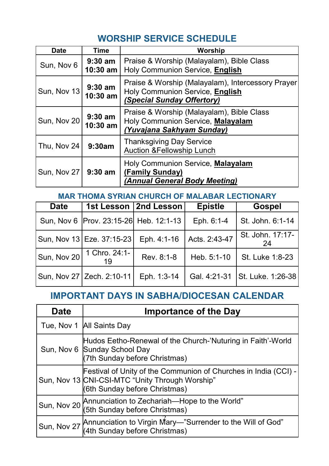#### **WORSHIP SERVICE SCHEDULE**

| <b>Date</b> | Time                    | Worship                                                                                                            |
|-------------|-------------------------|--------------------------------------------------------------------------------------------------------------------|
| Sun, Nov 6  | $9:30$ am<br>$10:30$ am | Praise & Worship (Malayalam), Bible Class<br>Holy Communion Service, English                                       |
| Sun, Nov 13 | $9:30$ am<br>10:30 am   | Praise & Worship (Malayalam), Intercessory Prayer<br>Holy Communion Service, English<br>(Special Sunday Offertory) |
| Sun, Nov 20 | $9:30$ am<br>$10:30$ am | Praise & Worship (Malayalam), Bible Class<br>Holy Communion Service, Malayalam<br>(Yuvajana Sakhyam Sunday)        |
| Thu, Nov 24 | 9:30am                  | <b>Thanksgiving Day Service</b><br>Auction & Fellowship Lunch                                                      |
| Sun, Nov 27 | $9:30$ am               | Holy Communion Service, Malayalam<br>(Family Sunday)<br>(Annual General Body Meeting)                              |

#### **MAR THOMA SYRIAN CHURCH OF MALABAR LECTIONARY**

| <b>Date</b> |                                           | 1st Lesson   2nd Lesson | <b>Epistle</b> | <b>Gospel</b>                    |
|-------------|-------------------------------------------|-------------------------|----------------|----------------------------------|
|             | Sun, Nov 6   Prov. 23:15-26  Heb. 12:1-13 |                         | Eph. 6:1-4     | St. John. 6:1-14                 |
|             | Sun, Nov 13 Eze. 37:15-23                 | Eph. 4:1-16             | Acts. 2:43-47  | St. John. 17:17-<br>24           |
| Sun, Nov 20 | 1 Chro. 24:1-<br>19                       | Rev. 8:1-8              | Heb. 5:1-10    | St. Luke 1:8-23                  |
|             | Sun, Nov 27 Zech. 2:10-11                 | Eph. 1:3-14             |                | Gal. 4:21-31   St. Luke. 1:26-38 |

#### **IMPORTANT DAYS IN SABHA/DIOCESAN CALENDAR**

| <b>Date</b> | <b>Importance of the Day</b>                                                                                                                        |
|-------------|-----------------------------------------------------------------------------------------------------------------------------------------------------|
|             | Tue, Nov 1 All Saints Day                                                                                                                           |
|             | Hudos Eetho-Renewal of the Church-'Nuturing in Faith'-World<br>Sun, Nov 6 Sunday School Day<br>(7th Sunday before Christmas)                        |
|             | Festival of Unity of the Communion of Churches in India (CCI) -<br>Sun, Nov 13 CNI-CSI-MTC "Unity Through Worship"<br>(6th Sunday before Christmas) |
| Sun, Nov 20 | Annunciation to Zechariah-Hope to the World"<br>(5th Sunday before Christmas)                                                                       |
| Sun, Nov 27 | Annunciation to Virgin Mary-"Surrender to the Will of God"<br>(4th Sunday before Christmas)                                                         |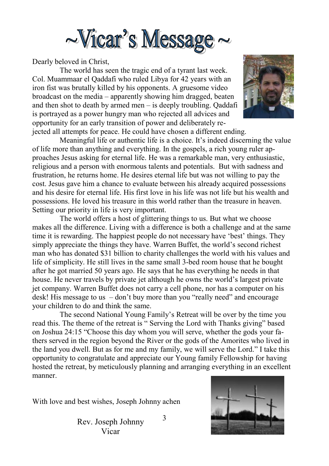

Dearly beloved in Christ,

 The world has seen the tragic end of a tyrant last week. Col. Muammaar el Qaddafi who ruled Libya for 42 years with an iron fist was brutally killed by his opponents. A gruesome video broadcast on the media – apparently showing him dragged, beaten and then shot to death by armed men – is deeply troubling. Qaddafi is portrayed as a power hungry man who rejected all advices and opportunity for an early transition of power and deliberately rejected all attempts for peace. He could have chosen a different ending.



 Meaningful life or authentic life is a choice. It's indeed discerning the value of life more than anything and everything. In the gospels, a rich young ruler approaches Jesus asking for eternal life. He was a remarkable man, very enthusiastic, religious and a person with enormous talents and potentials. But with sadness and frustration, he returns home. He desires eternal life but was not willing to pay the cost. Jesus gave him a chance to evaluate between his already acquired possessions and his desire for eternal life. His first love in his life was not life but his wealth and possessions. He loved his treasure in this world rather than the treasure in heaven. Setting our priority in life is very important.

 The world offers a host of glittering things to us. But what we choose makes all the difference. Living with a difference is both a challenge and at the same time it is rewarding. The happiest people do not necessary have 'best' things. They simply appreciate the things they have. Warren Buffet, the world's second richest man who has donated \$31 billion to charity challenges the world with his values and life of simplicity. He still lives in the same small 3-bed room house that he bought after he got married 50 years ago. He says that he has everything he needs in that house. He never travels by private jet although he owns the world's largest private jet company. Warren Buffet does not carry a cell phone, nor has a computer on his desk! His message to us – don't buy more than you "really need" and encourage your children to do and think the same.

 The second National Young Family's Retreat will be over by the time you read this. The theme of the retreat is " Serving the Lord with Thanks giving" based on Joshua 24:15 "Choose this day whom you will serve, whether the gods your fathers served in the region beyond the River or the gods of the Amorites who lived in the land you dwell. But as for me and my family, we will serve the Lord." I take this opportunity to congratulate and appreciate our Young family Fellowship for having hosted the retreat, by meticulously planning and arranging everything in an excellent manner.

With love and best wishes, Joseph Johnny achen

3 Rev. Joseph Johnny Vicar

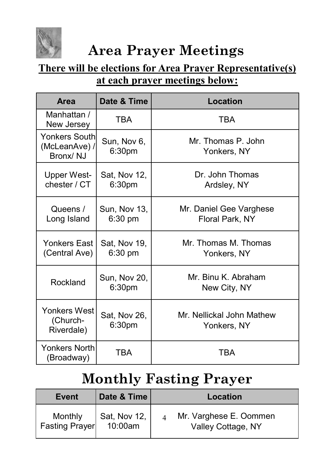

## **Area Prayer Meetings**

#### **There will be elections for Area Prayer Representative(s) at each prayer meetings below:**

| <b>Area</b>                                       | Date & Time                        | Location                                   |
|---------------------------------------------------|------------------------------------|--------------------------------------------|
| Manhattan /<br>New Jersey                         | <b>TBA</b>                         | <b>TBA</b>                                 |
| <b>Yonkers South</b><br>(McLeanAve) /<br>Bronx/NJ | Sun, Nov 6,<br>6:30pm              | Mr. Thomas P. John<br>Yonkers, NY          |
| <b>Upper West-</b><br>chester / CT                | Sat, Nov 12,<br>6:30pm             | Dr. John Thomas<br>Ardsley, NY             |
| Queens /<br>Long Island                           | Sun, Nov 13,<br>6:30 pm            | Mr. Daniel Gee Varghese<br>Floral Park, NY |
| Yonkers East<br>(Central Ave)                     | Sat, Nov 19,<br>6:30 pm            | Mr. Thomas M. Thomas<br>Yonkers, NY        |
| Rockland                                          | Sun, Nov 20,<br>6:30 <sub>pm</sub> | Mr. Binu K. Abraham<br>New City, NY        |
| <b>Yonkers West</b><br>(Church-<br>Riverdale)     | Sat, Nov 26,<br>6:30pm             | Mr. Nellickal John Mathew<br>Yonkers, NY   |
| <b>Yonkers North</b><br>(Broadway)                | <b>TBA</b>                         | TBA                                        |

## **Monthly Fasting Prayer**

| Event                            | Date & Time                | Location                                     |
|----------------------------------|----------------------------|----------------------------------------------|
| Monthly<br><b>Fasting Prayer</b> | Sat, Nov 12,<br>$10:00$ am | Mr. Varghese E. Oommen<br>Valley Cottage, NY |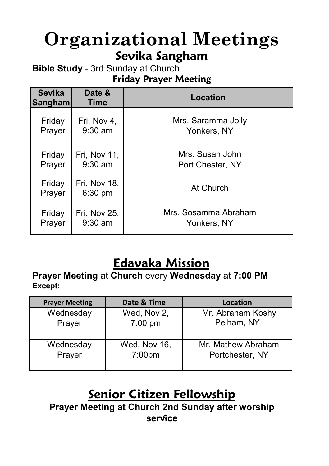## **Organizational Meetings Sevika Sangham**

**Bible Study** - 3rd Sunday at Church **Friday Prayer Meeting**

| <b>Sevika</b><br>Sangham | Date &<br><b>Time</b>     | Location             |
|--------------------------|---------------------------|----------------------|
| Friday                   | Fri, Nov 4,               | Mrs. Saramma Jolly   |
| Prayer                   | $9:30$ am                 | Yonkers, NY          |
| Friday                   | Fri, Nov 11,              | Mrs. Susan John      |
| Prayer                   | $9:30$ am                 | Port Chester, NY     |
| Friday<br>Prayer         | Fri, Nov 18,<br>$6:30$ pm | At Church            |
| Friday                   | Fri, Nov 25,              | Mrs. Sosamma Abraham |
| Prayer                   | $9:30$ am                 | Yonkers, NY          |

### **Edavaka Mission**

**Prayer Meeting** at **Church** every **Wednesday** at **7:00 PM Except:** 

| <b>Prayer Meeting</b> | Date & Time        | Location           |
|-----------------------|--------------------|--------------------|
| Wednesday             | Wed, Nov 2,        | Mr. Abraham Koshy  |
| Prayer                | $7:00$ pm          | Pelham, NY         |
| Wednesday             | Wed, Nov 16,       | Mr. Mathew Abraham |
| Prayer                | 7:00 <sub>pm</sub> | Portchester, NY    |

#### **Senior Citizen Fellowship**

5 **service Prayer Meeting at Church 2nd Sunday after worship**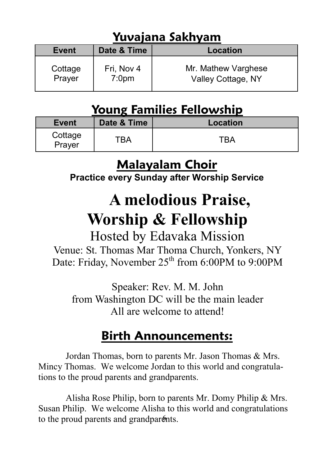### **Yuvajana Sakhyam**

| Event             | Date & Time                     | <b>Location</b>                           |  |
|-------------------|---------------------------------|-------------------------------------------|--|
| Cottage<br>Prayer | Fri, Nov 4<br>7:0 <sub>pm</sub> | Mr. Mathew Varghese<br>Valley Cottage, NY |  |

#### **Young Families Fellowship**

| Event             | Date & Time | Location |
|-------------------|-------------|----------|
| Cottage<br>Prayer | LD V        | TRA      |

### **Malayalam Choir**

**Practice every Sunday after Worship Service** 

# **A melodious Praise, Worship & Fellowship**

#### Hosted by Edavaka Mission Venue: St. Thomas Mar Thoma Church, Yonkers, NY Date: Friday, November  $25<sup>th</sup>$  from 6:00PM to 9:00PM

Speaker: Rev. M. M. John from Washington DC will be the main leader All are welcome to attend!

### **Birth Announcements:**

 Jordan Thomas, born to parents Mr. Jason Thomas & Mrs. Mincy Thomas. We welcome Jordan to this world and congratulations to the proud parents and grandparents.

to the proud parents and grandparents. Alisha Rose Philip, born to parents Mr. Domy Philip & Mrs. Susan Philip. We welcome Alisha to this world and congratulations